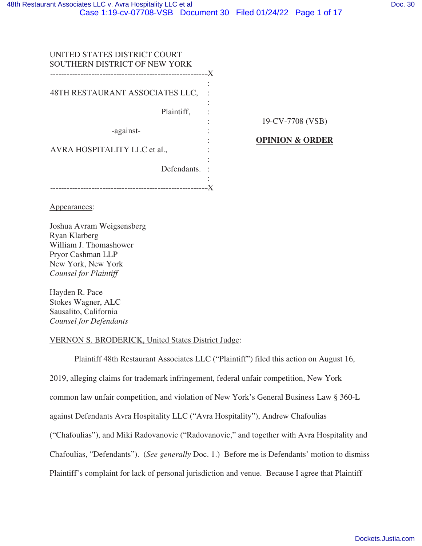| UNITED STATES DISTRICT COURT<br><b>SOUTHERN DISTRICT OF NEW YORK</b> |  |
|----------------------------------------------------------------------|--|
|                                                                      |  |
| 48TH RESTAURANT ASSOCIATES LLC,                                      |  |
| Plaintiff,                                                           |  |
| -against-                                                            |  |
| AVRA HOSPITALITY LLC et al.,                                         |  |
| Defendants.                                                          |  |
|                                                                      |  |

19-CV-7708 (VSB)

**OPINION & ORDER**

Appearances:

Joshua Avram Weigsensberg Ryan Klarberg William J. Thomashower Pryor Cashman LLP New York, New York *Counsel for Plaintiff*

Hayden R. Pace Stokes Wagner, ALC Sausalito, California *Counsel for Defendants*

# VERNON S. BRODERICK, United States District Judge:

Plaintiff 48th Restaurant Associates LLC ("Plaintiff") filed this action on August 16, 2019, alleging claims for trademark infringement, federal unfair competition, New York common law unfair competition, and violation of New York's General Business Law § 360-L against Defendants Avra Hospitality LLC ("Avra Hospitality"), Andrew Chafoulias ("Chafoulias"), and Miki Radovanovic ("Radovanovic," and together with Avra Hospitality and Chafoulias, "Defendants"). (*See generally* Doc. 1.) Before me is Defendants' motion to dismiss Plaintiff's complaint for lack of personal jurisdiction and venue. Because I agree that Plaintiff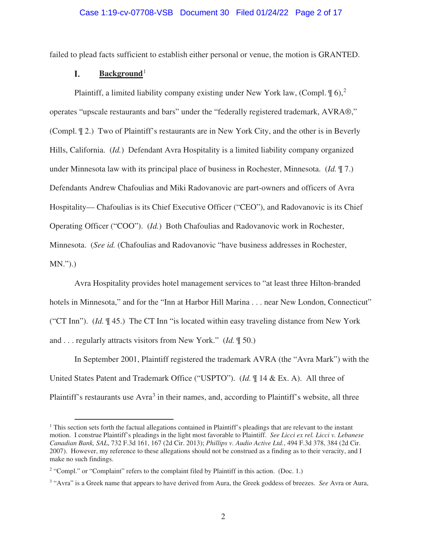## Case 1:19-cv-07708-VSB Document 30 Filed 01/24/22 Page 2 of 17

failed to plead facts sufficient to establish either personal or venue, the motion is GRANTED.

#### I. Background<sup>1</sup>

Plaintiff, a limited liability company existing under New York law, (Compl.  $\phi$ ),<sup>2</sup> operates "upscale restaurants and bars" under the "federally registered trademark, AVRA®," (Compl. ¶ 2.) Two of Plaintiff's restaurants are in New York City, and the other is in Beverly Hills, California. (*Id.*) Defendant Avra Hospitality is a limited liability company organized under Minnesota law with its principal place of business in Rochester, Minnesota. (*Id.* ¶ 7.) Defendants Andrew Chafoulias and Miki Radovanovic are part-owners and officers of Avra Hospitality— Chafoulias is its Chief Executive Officer ("CEO"), and Radovanovic is its Chief Operating Officer ("COO"). (*Id.*) Both Chafoulias and Radovanovic work in Rochester, Minnesota. (*See id.* (Chafoulias and Radovanovic "have business addresses in Rochester, MN.").)

Avra Hospitality provides hotel management services to "at least three Hilton-branded hotels in Minnesota," and for the "Inn at Harbor Hill Marina . . . near New London, Connecticut" ("CT Inn"). (*Id.* ¶ 45.) The CT Inn "is located within easy traveling distance from New York and . . . regularly attracts visitors from New York." (*Id.* ¶ 50.)

In September 2001, Plaintiff registered the trademark AVRA (the "Avra Mark") with the United States Patent and Trademark Office ("USPTO"). (*Id.* ¶ 14 & Ex. A). All three of Plaintiff's restaurants use Avra<sup>3</sup> in their names, and, according to Plaintiff's website, all three

<sup>1</sup> This section sets forth the factual allegations contained in Plaintiff's pleadings that are relevant to the instant motion. I construe Plaintiff's pleadings in the light most favorable to Plaintiff. *See Licci ex rel. Licci v. Lebanese Canadian Bank, SAL*, 732 F.3d 161, 167 (2d Cir. 2013); *Phillips v. Audio Active Ltd.*, 494 F.3d 378, 384 (2d Cir. 2007). However, my reference to these allegations should not be construed as a finding as to their veracity, and I make no such findings.

<sup>&</sup>lt;sup>2</sup> "Compl." or "Complaint" refers to the complaint filed by Plaintiff in this action. (Doc. 1.)

<sup>3</sup> "Avra" is a Greek name that appears to have derived from Aura, the Greek goddess of breezes. *See* Avra or Aura,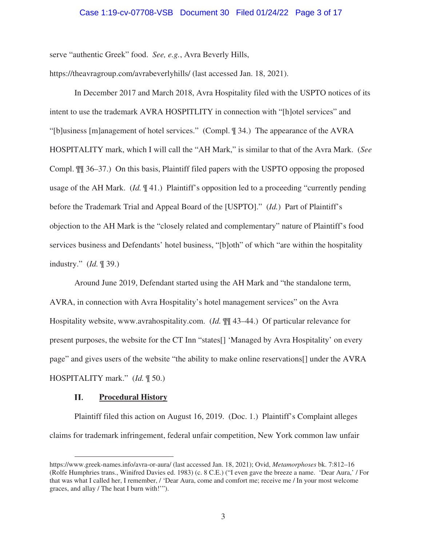### Case 1:19-cv-07708-VSB Document 30 Filed 01/24/22 Page 3 of 17

serve "authentic Greek" food. *See, e.g.*, Avra Beverly Hills,

https://theavragroup.com/avrabeverlyhills/ (last accessed Jan. 18, 2021).

In December 2017 and March 2018, Avra Hospitality filed with the USPTO notices of its intent to use the trademark AVRA HOSPITLITY in connection with "[h]otel services" and "[b]usiness [m]anagement of hotel services." (Compl. ¶ 34.) The appearance of the AVRA HOSPITALITY mark, which I will call the "AH Mark," is similar to that of the Avra Mark. (*See*  Compl. ¶¶ 36–37.) On this basis, Plaintiff filed papers with the USPTO opposing the proposed usage of the AH Mark. (*Id.* ¶ 41.) Plaintiff's opposition led to a proceeding "currently pending before the Trademark Trial and Appeal Board of the [USPTO]." (*Id.*) Part of Plaintiff's objection to the AH Mark is the "closely related and complementary" nature of Plaintiff's food services business and Defendants' hotel business, "[b]oth" of which "are within the hospitality industry." (*Id.* ¶ 39.)

Around June 2019, Defendant started using the AH Mark and "the standalone term, AVRA, in connection with Avra Hospitality's hotel management services" on the Avra Hospitality website, www.avrahospitality.com. (*Id.* ¶¶ 43–44.) Of particular relevance for present purposes, the website for the CT Inn "states[] 'Managed by Avra Hospitality' on every page" and gives users of the website "the ability to make online reservations[] under the AVRA HOSPITALITY mark." (*Id.* ¶ 50.)

#### II. **Procedural History**

Plaintiff filed this action on August 16, 2019. (Doc. 1.) Plaintiff's Complaint alleges claims for trademark infringement, federal unfair competition, New York common law unfair

https://www.greek-names.info/avra-or-aura/ (last accessed Jan. 18, 2021); Ovid, *Metamorphoses* bk. 7:812–16 (Rolfe Humphries trans., Winifred Davies ed. 1983) (c. 8 C.E.) ("I even gave the breeze a name. 'Dear Aura,' / For that was what I called her, I remember, / 'Dear Aura, come and comfort me; receive me / In your most welcome graces, and allay / The heat I burn with!'").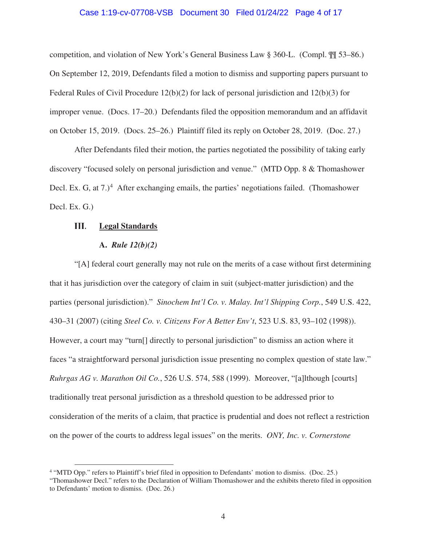## Case 1:19-cv-07708-VSB Document 30 Filed 01/24/22 Page 4 of 17

competition, and violation of New York's General Business Law § 360-L. (Compl. ¶¶ 53–86.) On September 12, 2019, Defendants filed a motion to dismiss and supporting papers pursuant to Federal Rules of Civil Procedure 12(b)(2) for lack of personal jurisdiction and 12(b)(3) for improper venue. (Docs. 17–20.) Defendants filed the opposition memorandum and an affidavit on October 15, 2019. (Docs. 25–26.) Plaintiff filed its reply on October 28, 2019. (Doc. 27.)

After Defendants filed their motion, the parties negotiated the possibility of taking early discovery "focused solely on personal jurisdiction and venue." (MTD Opp. 8 & Thomashower Decl. Ex. G, at  $7.$ <sup>4</sup> After exchanging emails, the parties' negotiations failed. (Thomashower Decl. Ex. G.)

#### Ш. **Legal Standards**

## **A.** *Rule 12(b)(2)*

"[A] federal court generally may not rule on the merits of a case without first determining that it has jurisdiction over the category of claim in suit (subject-matter jurisdiction) and the parties (personal jurisdiction)." *Sinochem Int'l Co. v. Malay. Int'l Shipping Corp.*, 549 U.S. 422, 430–31 (2007) (citing *Steel Co. v. Citizens For A Better Env't*, 523 U.S. 83, 93–102 (1998)). However, a court may "turn<sup>[]</sup> directly to personal jurisdiction" to dismiss an action where it faces "a straightforward personal jurisdiction issue presenting no complex question of state law." *Ruhrgas AG v. Marathon Oil Co.*, 526 U.S. 574, 588 (1999). Moreover, "[a]lthough [courts] traditionally treat personal jurisdiction as a threshold question to be addressed prior to consideration of the merits of a claim, that practice is prudential and does not reflect a restriction on the power of the courts to address legal issues" on the merits. *ONY, Inc. v. Cornerstone* 

<sup>&</sup>lt;sup>4</sup> "MTD Opp." refers to Plaintiff's brief filed in opposition to Defendants' motion to dismiss. (Doc. 25.)

<sup>&</sup>quot;Thomashower Decl." refers to the Declaration of William Thomashower and the exhibits thereto filed in opposition to Defendants' motion to dismiss. (Doc. 26.)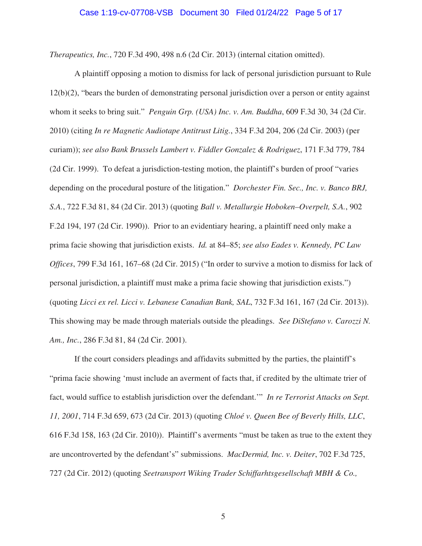*Therapeutics, Inc.*, 720 F.3d 490, 498 n.6 (2d Cir. 2013) (internal citation omitted).

A plaintiff opposing a motion to dismiss for lack of personal jurisdiction pursuant to Rule 12(b)(2), "bears the burden of demonstrating personal jurisdiction over a person or entity against whom it seeks to bring suit." *Penguin Grp. (USA) Inc. v. Am. Buddha*, 609 F.3d 30, 34 (2d Cir. 2010) (citing *In re Magnetic Audiotape Antitrust Litig.*, 334 F.3d 204, 206 (2d Cir. 2003) (per curiam)); *see also Bank Brussels Lambert v. Fiddler Gonzalez & Rodriguez*, 171 F.3d 779, 784 (2d Cir. 1999). To defeat a jurisdiction-testing motion, the plaintiff's burden of proof "varies depending on the procedural posture of the litigation." *Dorchester Fin. Sec., Inc. v. Banco BRJ, S.A.*, 722 F.3d 81, 84 (2d Cir. 2013) (quoting *Ball v. Metallurgie Hoboken–Overpelt, S.A.*, 902 F.2d 194, 197 (2d Cir. 1990)). Prior to an evidentiary hearing, a plaintiff need only make a prima facie showing that jurisdiction exists. *Id.* at 84–85; *see also Eades v. Kennedy, PC Law Offices*, 799 F.3d 161, 167–68 (2d Cir. 2015) ("In order to survive a motion to dismiss for lack of personal jurisdiction, a plaintiff must make a prima facie showing that jurisdiction exists.") (quoting *Licci ex rel. Licci v. Lebanese Canadian Bank, SAL*, 732 F.3d 161, 167 (2d Cir. 2013)). This showing may be made through materials outside the pleadings. *See DiStefano v. Carozzi N. Am., Inc.*, 286 F.3d 81, 84 (2d Cir. 2001).

If the court considers pleadings and affidavits submitted by the parties, the plaintiff's "prima facie showing 'must include an averment of facts that, if credited by the ultimate trier of fact, would suffice to establish jurisdiction over the defendant.'" *In re Terrorist Attacks on Sept. 11, 2001*, 714 F.3d 659, 673 (2d Cir. 2013) (quoting *Chloé v. Queen Bee of Beverly Hills, LLC*, 616 F.3d 158, 163 (2d Cir. 2010)). Plaintiff's averments "must be taken as true to the extent they are uncontroverted by the defendant's" submissions. *MacDermid, Inc. v. Deiter*, 702 F.3d 725, 727 (2d Cir. 2012) (quoting *Seetransport Wiking Trader Schiffarhtsgesellschaft MBH & Co.,* 

5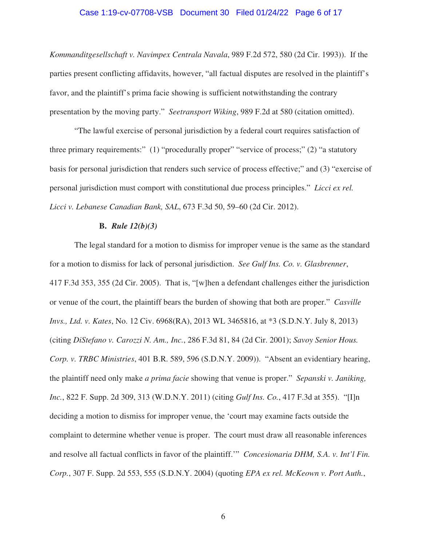## Case 1:19-cv-07708-VSB Document 30 Filed 01/24/22 Page 6 of 17

*Kommanditgesellschaft v. Navimpex Centrala Navala*, 989 F.2d 572, 580 (2d Cir. 1993)). If the parties present conflicting affidavits, however, "all factual disputes are resolved in the plaintiff's favor, and the plaintiff's prima facie showing is sufficient notwithstanding the contrary presentation by the moving party." *Seetransport Wiking*, 989 F.2d at 580 (citation omitted).

"The lawful exercise of personal jurisdiction by a federal court requires satisfaction of three primary requirements:" (1) "procedurally proper" "service of process;" (2) "a statutory basis for personal jurisdiction that renders such service of process effective;" and (3) "exercise of personal jurisdiction must comport with constitutional due process principles." *Licci ex rel. Licci v. Lebanese Canadian Bank, SAL*, 673 F.3d 50, 59–60 (2d Cir. 2012).

### **B.** *Rule 12(b)(3)*

The legal standard for a motion to dismiss for improper venue is the same as the standard for a motion to dismiss for lack of personal jurisdiction. *See Gulf Ins. Co. v. Glasbrenner*, 417 F.3d 353, 355 (2d Cir. 2005). That is, "[w]hen a defendant challenges either the jurisdiction or venue of the court, the plaintiff bears the burden of showing that both are proper." *Casville Invs., Ltd. v. Kates*, No. 12 Civ. 6968(RA), 2013 WL 3465816, at \*3 (S.D.N.Y. July 8, 2013) (citing *DiStefano v. Carozzi N. Am., Inc.*, 286 F.3d 81, 84 (2d Cir. 2001); *Savoy Senior Hous. Corp. v. TRBC Ministries*, 401 B.R. 589, 596 (S.D.N.Y. 2009)). "Absent an evidentiary hearing, the plaintiff need only make *a prima facie* showing that venue is proper." *Sepanski v. Janiking, Inc.*, 822 F. Supp. 2d 309, 313 (W.D.N.Y. 2011) (citing *Gulf Ins. Co.*, 417 F.3d at 355). "[I]n deciding a motion to dismiss for improper venue, the 'court may examine facts outside the complaint to determine whether venue is proper. The court must draw all reasonable inferences and resolve all factual conflicts in favor of the plaintiff.'" *Concesionaria DHM, S.A. v. Int'l Fin. Corp.*, 307 F. Supp. 2d 553, 555 (S.D.N.Y. 2004) (quoting *EPA ex rel. McKeown v. Port Auth.*,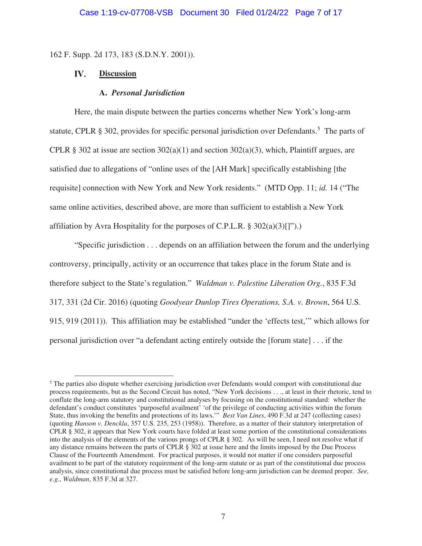162 F. Supp. 2d 173, 183 (S.D.N.Y. 2001)).

#### IV. **Discussion**

#### **A.** *Personal Jurisdiction*

Here, the main dispute between the parties concerns whether New York's long-arm statute, CPLR  $\S$  302, provides for specific personal jurisdiction over Defendants.<sup>5</sup> The parts of CPLR § 302 at issue are section  $302(a)(1)$  and section  $302(a)(3)$ , which, Plaintiff argues, are satisfied due to allegations of "online uses of the [AH Mark] specifically establishing [the requisite] connection with New York and New York residents." (MTD Opp. 11; *id.* 14 ("The same online activities, described above, are more than sufficient to establish a New York affiliation by Avra Hospitality for the purposes of C.P.L.R.  $\S 302(a)(3)[1]$ .

"Specific jurisdiction . . . depends on an affiliation between the forum and the underlying controversy, principally, activity or an occurrence that takes place in the forum State and is therefore subject to the State's regulation." *Waldman v. Palestine Liberation Org.*, 835 F.3d 317, 331 (2d Cir. 2016) (quoting *Goodyear Dunlop Tires Operations, S.A. v. Brown*, 564 U.S. 915, 919 (2011)). This affiliation may be established "under the 'effects test,'" which allows for personal jurisdiction over "a defendant acting entirely outside the [forum state] . . . if the

<sup>&</sup>lt;sup>5</sup> The parties also dispute whether exercising jurisdiction over Defendants would comport with constitutional due process requirements, but as the Second Circuit has noted, "New York decisions . . ., at least in their rhetoric, tend to conflate the long-arm statutory and constitutional analyses by focusing on the constitutional standard: whether the defendant's conduct constitutes 'purposeful availment' 'of the privilege of conducting activities within the forum State, thus invoking the benefits and protections of its laws.'" *Best Van Lines*, 490 F.3d at 247 (collecting cases) (quoting *Hanson v. Denckla*, 357 U.S. 235, 253 (1958)). Therefore, as a matter of their statutory interpretation of CPLR § 302, it appears that New York courts have folded at least some portion of the constitutional considerations into the analysis of the elements of the various prongs of CPLR § 302. As will be seen, I need not resolve what if any distance remains between the parts of CPLR § 302 at issue here and the limits imposed by the Due Process Clause of the Fourteenth Amendment. For practical purposes, it would not matter if one considers purposeful availment to be part of the statutory requirement of the long-arm statute or as part of the constitutional due process analysis, since constitutional due process must be satisfied before long-arm jurisdiction can be deemed proper. *See, e.g.*, *Waldman*, 835 F.3d at 327.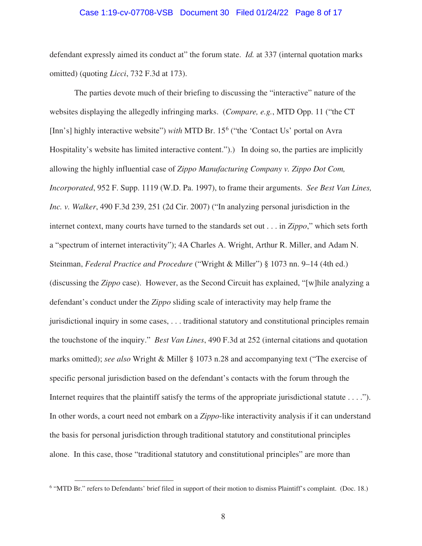#### Case 1:19-cv-07708-VSB Document 30 Filed 01/24/22 Page 8 of 17

defendant expressly aimed its conduct at" the forum state. *Id.* at 337 (internal quotation marks omitted) (quoting *Licci*, 732 F.3d at 173).

The parties devote much of their briefing to discussing the "interactive" nature of the websites displaying the allegedly infringing marks. (*Compare, e.g.*, MTD Opp. 11 ("the CT [Inn's] highly interactive website") *with* MTD Br. 15<sup>6</sup> ("the 'Contact Us' portal on Avra Hospitality's website has limited interactive content.").) In doing so, the parties are implicitly allowing the highly influential case of *Zippo Manufacturing Company v. Zippo Dot Com, Incorporated*, 952 F. Supp. 1119 (W.D. Pa. 1997), to frame their arguments. *See Best Van Lines, Inc. v. Walker*, 490 F.3d 239, 251 (2d Cir. 2007) ("In analyzing personal jurisdiction in the internet context, many courts have turned to the standards set out . . . in *Zippo*," which sets forth a "spectrum of internet interactivity"); 4A Charles A. Wright, Arthur R. Miller, and Adam N. Steinman, *Federal Practice and Procedure* ("Wright & Miller") § 1073 nn. 9–14 (4th ed.) (discussing the *Zippo* case). However, as the Second Circuit has explained, "[w]hile analyzing a defendant's conduct under the *Zippo* sliding scale of interactivity may help frame the jurisdictional inquiry in some cases, . . . traditional statutory and constitutional principles remain the touchstone of the inquiry." *Best Van Lines*, 490 F.3d at 252 (internal citations and quotation marks omitted); *see also* Wright & Miller § 1073 n.28 and accompanying text ("The exercise of specific personal jurisdiction based on the defendant's contacts with the forum through the Internet requires that the plaintiff satisfy the terms of the appropriate jurisdictional statute . . . ."). In other words, a court need not embark on a *Zippo*-like interactivity analysis if it can understand the basis for personal jurisdiction through traditional statutory and constitutional principles alone. In this case, those "traditional statutory and constitutional principles" are more than

<sup>&</sup>lt;sup>6</sup> "MTD Br." refers to Defendants' brief filed in support of their motion to dismiss Plaintiff's complaint. (Doc. 18.)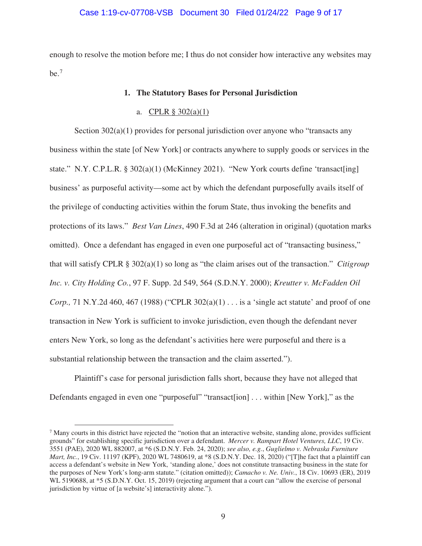## Case 1:19-cv-07708-VSB Document 30 Filed 01/24/22 Page 9 of 17

enough to resolve the motion before me; I thus do not consider how interactive any websites may  $be.7$ 

### **1. The Statutory Bases for Personal Jurisdiction**

# a. CPLR  $\S 302(a)(1)$

Section 302(a)(1) provides for personal jurisdiction over anyone who "transacts any business within the state [of New York] or contracts anywhere to supply goods or services in the state." N.Y. C.P.L.R. §  $302(a)(1)$  (McKinney 2021). "New York courts define 'transact[ing] business' as purposeful activity—some act by which the defendant purposefully avails itself of the privilege of conducting activities within the forum State, thus invoking the benefits and protections of its laws." *Best Van Lines*, 490 F.3d at 246 (alteration in original) (quotation marks omitted). Once a defendant has engaged in even one purposeful act of "transacting business," that will satisfy CPLR § 302(a)(1) so long as "the claim arises out of the transaction." *Citigroup Inc. v. City Holding Co.*, 97 F. Supp. 2d 549, 564 (S.D.N.Y. 2000); *Kreutter v. McFadden Oil Corp.*, 71 N.Y.2d 460, 467 (1988) ("CPLR 302(a)(1) . . . is a 'single act statute' and proof of one transaction in New York is sufficient to invoke jurisdiction, even though the defendant never enters New York, so long as the defendant's activities here were purposeful and there is a substantial relationship between the transaction and the claim asserted.").

Plaintiff's case for personal jurisdiction falls short, because they have not alleged that Defendants engaged in even one "purposeful" "transact[ion] . . . within [New York]," as the

 $<sup>7</sup>$  Many courts in this district have rejected the "notion that an interactive website, standing alone, provides sufficient</sup> grounds" for establishing specific jurisdiction over a defendant. *Mercer v. Rampart Hotel Ventures, LLC*, 19 Civ. 3551 (PAE), 2020 WL 882007, at \*6 (S.D.N.Y. Feb. 24, 2020); *see also, e.g.*, *Guglielmo v. Nebraska Furniture Mart, Inc.*, 19 Civ. 11197 (KPF), 2020 WL 7480619, at \*8 (S.D.N.Y. Dec. 18, 2020) ("[T]he fact that a plaintiff can access a defendant's website in New York, 'standing alone,' does not constitute transacting business in the state for the purposes of New York's long-arm statute." (citation omitted)); *Camacho v. Ne. Univ.*, 18 Civ. 10693 (ER), 2019 WL 5190688, at  $*5$  (S.D.N.Y. Oct. 15, 2019) (rejecting argument that a court can "allow the exercise of personal jurisdiction by virtue of [a website's] interactivity alone.").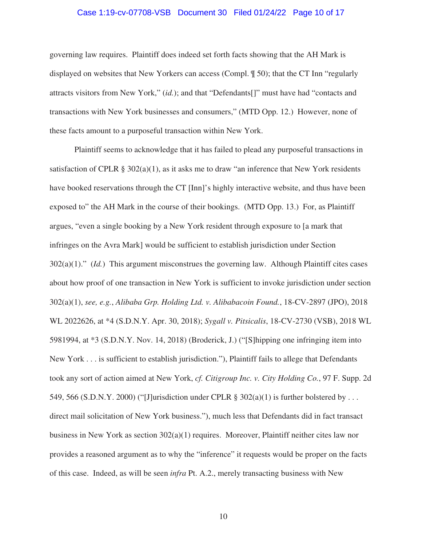## Case 1:19-cv-07708-VSB Document 30 Filed 01/24/22 Page 10 of 17

governing law requires. Plaintiff does indeed set forth facts showing that the AH Mark is displayed on websites that New Yorkers can access (Compl. ¶ 50); that the CT Inn "regularly attracts visitors from New York," (*id.*); and that "Defendants[]" must have had "contacts and transactions with New York businesses and consumers," (MTD Opp. 12.) However, none of these facts amount to a purposeful transaction within New York.

Plaintiff seems to acknowledge that it has failed to plead any purposeful transactions in satisfaction of CPLR §  $302(a)(1)$ , as it asks me to draw "an inference that New York residents have booked reservations through the CT [Inn]'s highly interactive website, and thus have been exposed to" the AH Mark in the course of their bookings. (MTD Opp. 13.) For, as Plaintiff argues, "even a single booking by a New York resident through exposure to [a mark that infringes on the Avra Mark] would be sufficient to establish jurisdiction under Section 302(a)(1)." (*Id.*) This argument misconstrues the governing law. Although Plaintiff cites cases about how proof of one transaction in New York is sufficient to invoke jurisdiction under section 302(a)(1), *see, e.g.*, *Alibaba Grp. Holding Ltd. v. Alibabacoin Found.*, 18-CV-2897 (JPO), 2018 WL 2022626, at \*4 (S.D.N.Y. Apr. 30, 2018); *Sygall v. Pitsicalis*, 18-CV-2730 (VSB), 2018 WL 5981994, at \*3 (S.D.N.Y. Nov. 14, 2018) (Broderick, J.) ("[S]hipping one infringing item into New York . . . is sufficient to establish jurisdiction."), Plaintiff fails to allege that Defendants took any sort of action aimed at New York, *cf. Citigroup Inc. v. City Holding Co.*, 97 F. Supp. 2d 549, 566 (S.D.N.Y. 2000) ("[J]urisdiction under CPLR §  $302(a)(1)$  is further bolstered by ... direct mail solicitation of New York business."), much less that Defendants did in fact transact business in New York as section 302(a)(1) requires. Moreover, Plaintiff neither cites law nor provides a reasoned argument as to why the "inference" it requests would be proper on the facts of this case. Indeed, as will be seen *infra* Pt. A.2., merely transacting business with New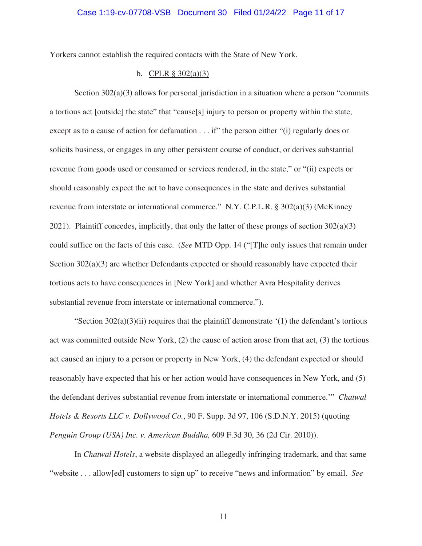Yorkers cannot establish the required contacts with the State of New York.

# b. CPLR  $\S 302(a)(3)$

Section  $302(a)(3)$  allows for personal jurisdiction in a situation where a person "commits" a tortious act [outside] the state" that "cause[s] injury to person or property within the state, except as to a cause of action for defamation . . . if" the person either "(i) regularly does or solicits business, or engages in any other persistent course of conduct, or derives substantial revenue from goods used or consumed or services rendered, in the state," or "(ii) expects or should reasonably expect the act to have consequences in the state and derives substantial revenue from interstate or international commerce." N.Y. C.P.L.R. § 302(a)(3) (McKinney 2021). Plaintiff concedes, implicitly, that only the latter of these prongs of section 302(a)(3) could suffice on the facts of this case. (*See* MTD Opp. 14 ("[T]he only issues that remain under Section 302(a)(3) are whether Defendants expected or should reasonably have expected their tortious acts to have consequences in [New York] and whether Avra Hospitality derives substantial revenue from interstate or international commerce.").

"Section  $302(a)(3)(ii)$  requires that the plaintiff demonstrate '(1) the defendant's tortious act was committed outside New York, (2) the cause of action arose from that act, (3) the tortious act caused an injury to a person or property in New York, (4) the defendant expected or should reasonably have expected that his or her action would have consequences in New York, and (5) the defendant derives substantial revenue from interstate or international commerce.'" *Chatwal Hotels & Resorts LLC v. Dollywood Co.*, 90 F. Supp. 3d 97, 106 (S.D.N.Y. 2015) (quoting *Penguin Group (USA) Inc. v. American Buddha,* 609 F.3d 30, 36 (2d Cir. 2010)).

In *Chatwal Hotels*, a website displayed an allegedly infringing trademark, and that same "website . . . allow[ed] customers to sign up" to receive "news and information" by email. *See*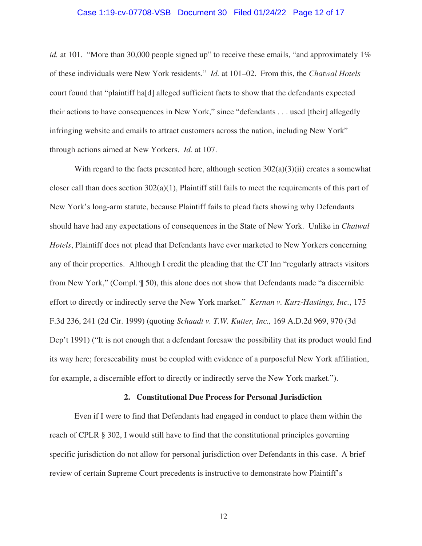### Case 1:19-cv-07708-VSB Document 30 Filed 01/24/22 Page 12 of 17

*id.* at 101. "More than 30,000 people signed up" to receive these emails, "and approximately 1% of these individuals were New York residents." *Id.* at 101–02. From this, the *Chatwal Hotels*  court found that "plaintiff ha[d] alleged sufficient facts to show that the defendants expected their actions to have consequences in New York," since "defendants . . . used [their] allegedly infringing website and emails to attract customers across the nation, including New York" through actions aimed at New Yorkers. *Id.* at 107.

With regard to the facts presented here, although section  $302(a)(3)(ii)$  creates a somewhat closer call than does section  $302(a)(1)$ , Plaintiff still fails to meet the requirements of this part of New York's long-arm statute, because Plaintiff fails to plead facts showing why Defendants should have had any expectations of consequences in the State of New York. Unlike in *Chatwal Hotels*, Plaintiff does not plead that Defendants have ever marketed to New Yorkers concerning any of their properties. Although I credit the pleading that the CT Inn "regularly attracts visitors from New York," (Compl. ¶ 50), this alone does not show that Defendants made "a discernible effort to directly or indirectly serve the New York market." *Kernan v. Kurz-Hastings, Inc.*, 175 F.3d 236, 241 (2d Cir. 1999) (quoting *Schaadt v. T.W. Kutter, Inc.,* 169 A.D.2d 969, 970 (3d Dep't 1991) ("It is not enough that a defendant foresaw the possibility that its product would find its way here; foreseeability must be coupled with evidence of a purposeful New York affiliation, for example, a discernible effort to directly or indirectly serve the New York market.").

#### **2. Constitutional Due Process for Personal Jurisdiction**

Even if I were to find that Defendants had engaged in conduct to place them within the reach of CPLR § 302, I would still have to find that the constitutional principles governing specific jurisdiction do not allow for personal jurisdiction over Defendants in this case. A brief review of certain Supreme Court precedents is instructive to demonstrate how Plaintiff's

12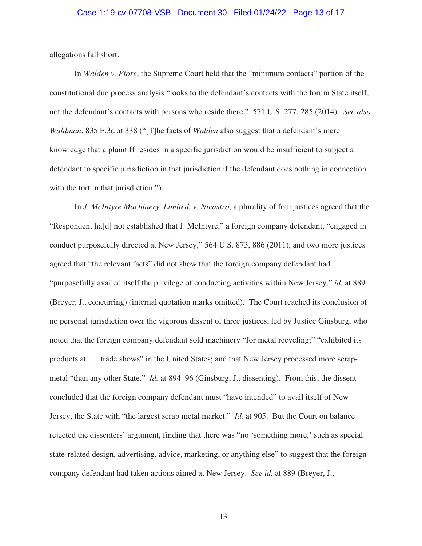## Case 1:19-cv-07708-VSB Document 30 Filed 01/24/22 Page 13 of 17

allegations fall short.

In *Walden v. Fiore*, the Supreme Court held that the "minimum contacts" portion of the constitutional due process analysis "looks to the defendant's contacts with the forum State itself, not the defendant's contacts with persons who reside there." 571 U.S. 277, 285 (2014). *See also Waldman*, 835 F.3d at 338 ("[T]he facts of *Walden* also suggest that a defendant's mere knowledge that a plaintiff resides in a specific jurisdiction would be insufficient to subject a defendant to specific jurisdiction in that jurisdiction if the defendant does nothing in connection with the tort in that jurisdiction.").

In *J. McIntyre Machinery, Limited. v. Nicastro*, a plurality of four justices agreed that the "Respondent ha[d] not established that J. McIntyre," a foreign company defendant, "engaged in conduct purposefully directed at New Jersey," 564 U.S. 873, 886 (2011), and two more justices agreed that "the relevant facts" did not show that the foreign company defendant had "purposefully availed itself the privilege of conducting activities within New Jersey," *id.* at 889 (Breyer, J., concurring) (internal quotation marks omitted). The Court reached its conclusion of no personal jurisdiction over the vigorous dissent of three justices, led by Justice Ginsburg, who noted that the foreign company defendant sold machinery "for metal recycling;" "exhibited its products at . . . trade shows" in the United States; and that New Jersey processed more scrapmetal "than any other State." *Id.* at 894–96 (Ginsburg, J., dissenting). From this, the dissent concluded that the foreign company defendant must "have intended" to avail itself of New Jersey, the State with "the largest scrap metal market." *Id.* at 905. But the Court on balance rejected the dissenters' argument, finding that there was "no 'something more,' such as special state-related design, advertising, advice, marketing, or anything else" to suggest that the foreign company defendant had taken actions aimed at New Jersey. *See id.* at 889 (Breyer, J.,

13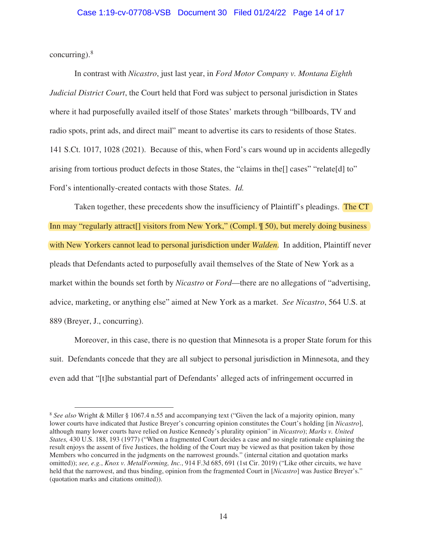# Case 1:19-cv-07708-VSB Document 30 Filed 01/24/22 Page 14 of 17

concurring).<sup>8</sup>

In contrast with *Nicastro*, just last year, in *Ford Motor Company v. Montana Eighth Judicial District Court*, the Court held that Ford was subject to personal jurisdiction in States where it had purposefully availed itself of those States' markets through "billboards, TV and radio spots, print ads, and direct mail" meant to advertise its cars to residents of those States. 141 S.Ct. 1017, 1028 (2021). Because of this, when Ford's cars wound up in accidents allegedly arising from tortious product defects in those States, the "claims in the[] cases" "relate[d] to" Ford's intentionally-created contacts with those States. *Id.*

Taken together, these precedents show the insufficiency of Plaintiff's pleadings. The CT Inn may "regularly attract<sup>[]</sup> visitors from New York," (Compl.  $\parallel$  50), but merely doing business with New Yorkers cannot lead to personal jurisdiction under *Walden*. In addition, Plaintiff never pleads that Defendants acted to purposefully avail themselves of the State of New York as a market within the bounds set forth by *Nicastro* or *Ford*—there are no allegations of "advertising, advice, marketing, or anything else" aimed at New York as a market. *See Nicastro*, 564 U.S. at 889 (Breyer, J., concurring).

Moreover, in this case, there is no question that Minnesota is a proper State forum for this suit. Defendants concede that they are all subject to personal jurisdiction in Minnesota, and they even add that "[t]he substantial part of Defendants' alleged acts of infringement occurred in

<sup>8</sup> *See also* Wright & Miller § 1067.4 n.55 and accompanying text ("Given the lack of a majority opinion, many lower courts have indicated that Justice Breyer's concurring opinion constitutes the Court's holding [in *Nicastro*], although many lower courts have relied on Justice Kennedy's plurality opinion" in *Nicastro*); *Marks v. United States,* 430 U.S. 188, 193 (1977) ("When a fragmented Court decides a case and no single rationale explaining the result enjoys the assent of five Justices, the holding of the Court may be viewed as that position taken by those Members who concurred in the judgments on the narrowest grounds." (internal citation and quotation marks omitted)); *see, e.g.*, *Knox v. MetalForming, Inc.*, 914 F.3d 685, 691 (1st Cir. 2019) ("Like other circuits, we have held that the narrowest, and thus binding, opinion from the fragmented Court in [*Nicastro*] was Justice Breyer's." (quotation marks and citations omitted)).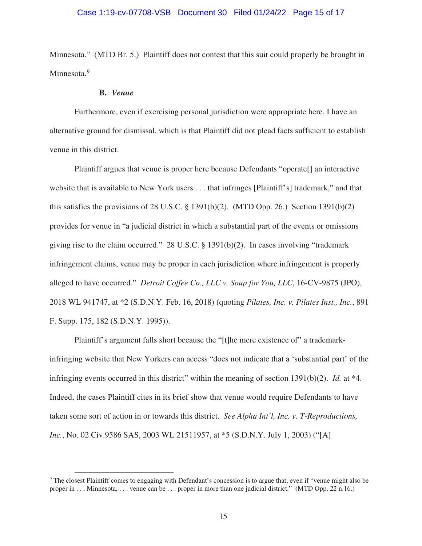# Case 1:19-cv-07708-VSB Document 30 Filed 01/24/22 Page 15 of 17

Minnesota." (MTD Br. 5.) Plaintiff does not contest that this suit could properly be brought in Minnesota.<sup>9</sup>

#### **B.** *Venue*

Furthermore, even if exercising personal jurisdiction were appropriate here, I have an alternative ground for dismissal, which is that Plaintiff did not plead facts sufficient to establish venue in this district.

Plaintiff argues that venue is proper here because Defendants "operate[] an interactive website that is available to New York users . . . that infringes [Plaintiff's] trademark," and that this satisfies the provisions of 28 U.S.C.  $\S$  1391(b)(2). (MTD Opp. 26.) Section 1391(b)(2) provides for venue in "a judicial district in which a substantial part of the events or omissions giving rise to the claim occurred." 28 U.S.C. § 1391(b)(2). In cases involving "trademark infringement claims, venue may be proper in each jurisdiction where infringement is properly alleged to have occurred." *Detroit Coffee Co., LLC v. Soup for You, LLC*, 16-CV-9875 (JPO), 2018 WL 941747, at \*2 (S.D.N.Y. Feb. 16, 2018) (quoting *Pilates, Inc. v. Pilates Inst., Inc.*, 891 F. Supp. 175, 182 (S.D.N.Y. 1995)).

Plaintiff's argument falls short because the "[t]he mere existence of" a trademarkinfringing website that New Yorkers can access "does not indicate that a 'substantial part' of the infringing events occurred in this district" within the meaning of section 1391(b)(2). *Id.* at \*4. Indeed, the cases Plaintiff cites in its brief show that venue would require Defendants to have taken some sort of action in or towards this district. *See Alpha Int'l, Inc. v. T-Reproductions, Inc.*, No. 02 Civ.9586 SAS, 2003 WL 21511957, at \*5 (S.D.N.Y. July 1, 2003) ("[A]

<sup>9</sup> The closest Plaintiff comes to engaging with Defendant's concession is to argue that, even if "venue might also be proper in . . . Minnesota, . . . venue can be . . . proper in more than one judicial district." (MTD Opp. 22 n.16.)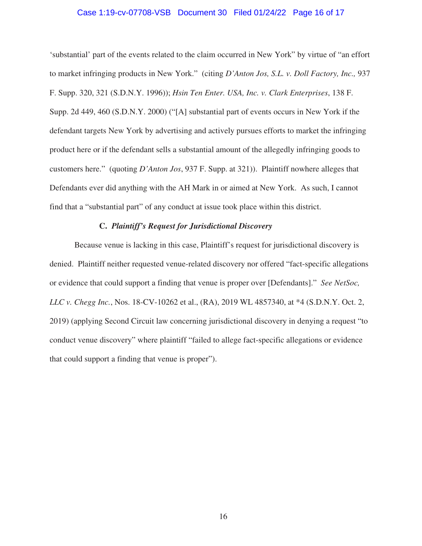## Case 1:19-cv-07708-VSB Document 30 Filed 01/24/22 Page 16 of 17

'substantial' part of the events related to the claim occurred in New York" by virtue of "an effort to market infringing products in New York." (citing *D'Anton Jos, S.L. v. Doll Factory, Inc.,* 937 F. Supp. 320, 321 (S.D.N.Y. 1996)); *Hsin Ten Enter. USA, Inc. v. Clark Enterprises*, 138 F. Supp. 2d 449, 460 (S.D.N.Y. 2000) ("[A] substantial part of events occurs in New York if the defendant targets New York by advertising and actively pursues efforts to market the infringing product here or if the defendant sells a substantial amount of the allegedly infringing goods to customers here." (quoting *D'Anton Jos*, 937 F. Supp. at 321)). Plaintiff nowhere alleges that Defendants ever did anything with the AH Mark in or aimed at New York. As such, I cannot find that a "substantial part" of any conduct at issue took place within this district.

### **C.** *Plaintiff's Request for Jurisdictional Discovery*

Because venue is lacking in this case, Plaintiff's request for jurisdictional discovery is denied. Plaintiff neither requested venue-related discovery nor offered "fact-specific allegations or evidence that could support a finding that venue is proper over [Defendants]." *See NetSoc, LLC v. Chegg Inc.*, Nos. 18-CV-10262 et al., (RA), 2019 WL 4857340, at \*4 (S.D.N.Y. Oct. 2, 2019) (applying Second Circuit law concerning jurisdictional discovery in denying a request "to conduct venue discovery" where plaintiff "failed to allege fact-specific allegations or evidence that could support a finding that venue is proper").